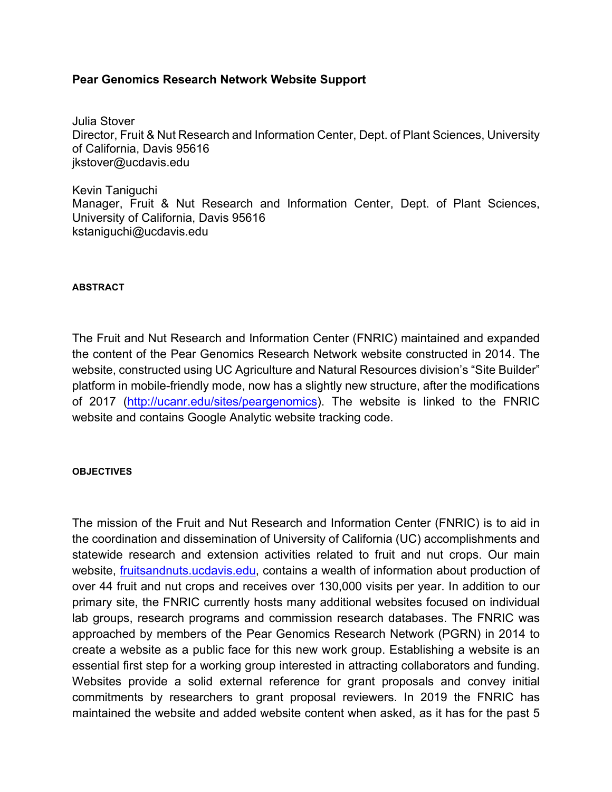## **Pear Genomics Research Network Website Support**

Julia Stover Director, Fruit & Nut Research and Information Center, Dept. of Plant Sciences, University of California, Davis 95616 jkstover@ucdavis.edu

Kevin Taniguchi Manager, Fruit & Nut Research and Information Center, Dept. of Plant Sciences, University of California, Davis 95616 kstaniguchi@ucdavis.edu

## **ABSTRACT**

The Fruit and Nut Research and Information Center (FNRIC) maintained and expanded the content of the Pear Genomics Research Network website constructed in 2014. The website, constructed using UC Agriculture and Natural Resources division's "Site Builder" platform in mobile-friendly mode, now has a slightly new structure, after the modifications of 2017 (http://ucanr.edu/sites/peargenomics). The website is linked to the FNRIC website and contains Google Analytic website tracking code.

## **OBJECTIVES**

The mission of the Fruit and Nut Research and Information Center (FNRIC) is to aid in the coordination and dissemination of University of California (UC) accomplishments and statewide research and extension activities related to fruit and nut crops. Our main website, fruitsandnuts.ucdavis.edu, contains a wealth of information about production of over 44 fruit and nut crops and receives over 130,000 visits per year. In addition to our primary site, the FNRIC currently hosts many additional websites focused on individual lab groups, research programs and commission research databases. The FNRIC was approached by members of the Pear Genomics Research Network (PGRN) in 2014 to create a website as a public face for this new work group. Establishing a website is an essential first step for a working group interested in attracting collaborators and funding. Websites provide a solid external reference for grant proposals and convey initial commitments by researchers to grant proposal reviewers. In 2019 the FNRIC has maintained the website and added website content when asked, as it has for the past 5